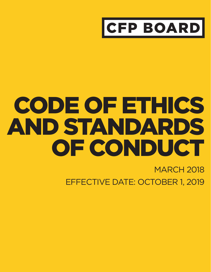

# CODE OF ETHICS AND STANDARDS OF CONDUCT

**MARCH 2018** EFFECTIVE DATE: OCTOBER 1, 2019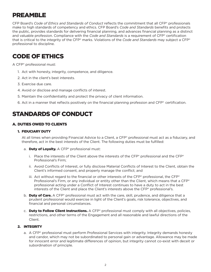# PREAMBLE

CFP Board's *Code of Ethics and Standards of Conduct* reflects the commitment that all CFP® professionals make to high standards of competency and ethics. CFP Board's *Code and Standards* benefits and protects the public, provides standards for delivering financial planning, and advances financial planning as a distinct and valuable profession. Compliance with the *Code and Standards* is a requirement of CFP® certification that is critical to the integrity of the CFP® marks. Violations of the *Code and Standards* may subject a CFP® professional to discipline.

# CODE OF ETHICS

A CFP® professional must:

- 1. Act with honesty, integrity, competence, and diligence.
- 2. Act in the client's best interests.
- 3. Exercise due care.
- 4. Avoid or disclose and manage conflicts of interest.
- 5. Maintain the confidentiality and protect the privacy of client information.
- 6. Act in a manner that reflects positively on the financial planning profession and CFP® certification.

# STANDARDS OF CONDUCT

## A. DUTIES OWED TO CLIENTS

#### 1. FIDUCIARY DUTY

At all times when providing Financial Advice to a Client, a CFP® professional must act as a fiduciary, and therefore, act in the best interests of the Client. The following duties must be fulfilled:

- a. Duty of Loyalty. A CFP® professional must:
	- i. Place the interests of the Client above the interests of the CFP® professional and the CFP® Professional's Firm;
	- ii. Avoid Conflicts of Interest, or fully disclose Material Conflicts of Interest to the Client, obtain the Client's informed consent, and properly manage the conflict; and
	- iii. Act without regard to the financial or other interests of the CFP® professional, the CFP® Professional's Firm, or any individual or entity other than the Client, which means that a CFP® professional acting under a Conflict of Interest continues to have a duty to act in the best interests of the Client and place the Client's interests above the CFP® professional's.
- b. **Duty of Care.** A CFP® professional must act with the care, skill, prudence, and diligence that a prudent professional would exercise in light of the Client's goals, risk tolerance, objectives, and financial and personal circumstances.
- c. **Duty to Follow Client Instructions.** A CFP® professional must comply with all objectives, policies, restrictions, and other terms of the Engagement and all reasonable and lawful directions of the Client.

#### 2. INTEGRITY

a. A CFP® professional must perform Professional Services with integrity. Integrity demands honesty and candor, which may not be subordinated to personal gain or advantage. Allowance may be made for innocent error and legitimate differences of opinion, but integrity cannot co-exist with deceit or subordination of principle.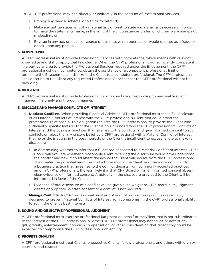- b. A CFP® professional may not, directly or indirectly, in the conduct of Professional Services:
	- i. Employ any device, scheme, or artifice to defraud;
	- ii. Make any untrue statement of a material fact or omit to state a material fact necessary in order to make the statements made, in the light of the circumstances under which they were made, not misleading; or
	- iii. Engage in any act, practice, or course of business which operates or would operate as a fraud or deceit upon any person.

#### 3. COMPETENCE

A CFP® professional must provide Professional Services with competence, which means with relevant knowledge and skill to apply that knowledge. When the CFP® professional is not sufficiently competent in a particular area to provide the Professional Services required under the Engagement, the CFP® professional must gain competence, obtain the assistance of a competent professional, limit or terminate the Engagement, and/or refer the Client to a competent professional. The CFP® professional shall describe to the Client any requested Professional Services that the CFP® professional will not be providing.

#### 4. DILIGENCE

A CFP® professional must provide Professional Services, including responding to reasonable Client inquiries, in a timely and thorough manner.

#### 5. DISCLOSE AND MANAGE CONFLICTS OF INTEREST

- a. **Disclose Conflicts.** When providing Financial Advice, a CFP® professional must make full disclosure of all Material Conflicts of Interest with the CFP® professional's Client that could affect the professional relationship. This obligation requires the CFP® professional to provide the Client with sufficiently specific facts so that the Client is able to understand the CFP® professional's Conflicts of Interest and the business practices that give rise to the conflicts, and give informed consent to such conflicts or reject them. A sincere belief by a CFP® professional with a Material Conflict of Interest that he or she is acting in the best interests of the Client is insufficient to excuse failure to make full disclosure.
	- i. In determining whether to infer that a Client has consented to a Material Conflict of Interest, CFP Board will evaluate whether a reasonable Client receiving the disclosure would have understood the conflict and how it could affect the advice the Client will receive from the CFP® professional. The greater the potential harm the conflict presents to the Client, and the more significantly a business practice that gives rise to the conflict departs from commonly accepted practices among CFP® professionals, the less likely it is that CFP Board will infer informed consent absent clear evidence of informed consent. Ambiguity in the disclosure provided to the Client will be interpreted in favor of the Client.
	- ii. Evidence of oral disclosure of a conflict will be given such weight as CFP Board in its judgment deems appropriate. Written consent to a conflict is not required.
- b. **Manage Conflicts.** A CFP® professional must adopt and follow business practices reasonably designed to prevent Material Conflicts of Interest from compromising the CFP® professional's ability to act in the Client's best interests.

#### 6. SOUND AND OBJECTIVE PROFESSIONAL JUDGMENT

A CFP® professional must exercise professional judgment on behalf of the Client that is not subordinated to the interest of the CFP® professional or others. A CFP® professional may not solicit or accept any gift, gratuity, entertainment, non-cash compensation, or other consideration that reasonably could be expected to compromise the CFP® professional's objectivity.

#### 7. PROFESSIONALISM

A CFP® professional must treat Clients, prospective Clients, fellow professionals, and others with dignity, courtesy, and respect.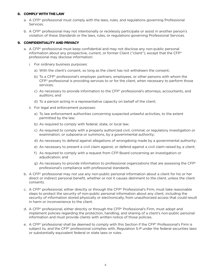#### 8. COMPLY WITH THE LAW

- a. A CFP® professional must comply with the laws, rules, and regulations governing Professional Services.
- b. A CFP® professional may not intentionally or recklessly participate or assist in another person's violation of these *Standards* or the laws, rules, or regulations governing Professional Services.

#### 9. CONFIDENTIALITY AND PRIVACY

- a. A CFP® professional must keep confidential and may not disclose any non-public personal information about any prospective, current, or former Client ("client"), except that the CFP® professional may disclose information:
	- i. For ordinary business purposes:
		- a) With the client's consent, so long as the client has not withdrawn the consent;
		- b) To a CFP<sup>®</sup> professional's employer, partners, employees, or other persons with whom the CFP® professional is providing services to or for the client, when necessary to perform those services;
		- c) As necessary to provide information to the CFP® professional's attorneys, accountants, and auditors; and
		- d) To a person acting in a representative capacity on behalf of the client;
	- ii. For legal and enforcement purposes:
		- a) To law enforcement authorities concerning suspected unlawful activities, to the extent permitted by the law;
		- b) As required to comply with federal, state, or local law;
		- c) As required to comply with a properly authorized civil, criminal, or regulatory investigation or examination, or subpoena or summons, by a governmental authority;
		- d) As necessary to defend against allegations of wrongdoing made by a governmental authority;
		- e) As necessary to present a civil claim against, or defend against a civil claim raised by, a client;
		- f) As required to comply with a request from CFP Board concerning an investigation or adjudication; and
		- g) As necessary to provide information to professional organizations that are assessing the CFP® professional's compliance with professional standards.
- b. A CFP® professional may not use any non-public personal information about a client for his or her direct or indirect personal benefit, whether or not it causes detriment to the client, unless the client consents.
- c. A CFP® professional, either directly or through the CFP® Professional's Firm, must take reasonable steps to protect the security of non-public personal information about any client, including the security of information stored physically or electronically, from unauthorized access that could result in harm or inconvenience to the client.
- d. A CFP® professional, either directly or through the CFP® Professional's Firm, must adopt and implement policies regarding the protection, handling, and sharing of a client's non-public personal information and must provide clients with written notice of those policies.
- e. A CFP® professional shall be deemed to comply with this Section if the CFP® Professional's Firm is subject to, and the CFP® professional complies with, Regulation S-P under the federal securities laws or substantially equivalent federal or state laws or rules.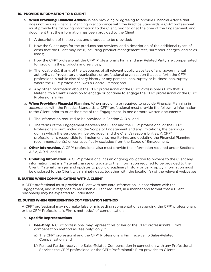#### 10. PROVIDE INFORMATION TO A CLIENT

- a. When Providing Financial Advice. When providing or agreeing to provide Financial Advice that does not require Financial Planning in accordance with the Practice Standards, a CFP® professional must provide the following information to the Client, prior to or at the time of the Engagement, and document that the information has been provided to the Client:
	- i. A description of the services and products to be provided;
	- ii. How the Client pays for the products and services, and a description of the additional types of costs that the Client may incur, including product management fees, surrender charges, and sales loads;
	- iii. How the CFP® professional, the CFP® Professional's Firm, and any Related Party are compensated for providing the products and services;
	- iv. The location(s), if any, of the webpages of all relevant public websites of any governmental authority, self-regulatory organization, or professional organization that sets forth the CFP® professional's public disciplinary history or any personal bankruptcy or business bankruptcy where the CFP® professional was a Control Person; and
	- v. Any other information about the  $\text{CFP}^*$  professional or the  $\text{CFP}^*$  Professional's Firm that is Material to a Client's decision to engage or continue to engage the  $\mathsf{CFP}^{\circ}$  professional or the  $\mathsf{CFP}^{\circ}$ Professional's Firm.
- b. When Providing Financial Planning. When providing or required to provide Financial Planning in accordance with the Practice Standards, a CFP® professional must provide the following information to the Client, prior to or at the time of the Engagement, in one or more written documents:
	- i. The information required to be provided in Section A.10.a.; and
	- ii. The terms of the Engagement between the Client and the  $\text{CFP}^*$  professional or the  $\text{CFP}^*$ Professional's Firm, including the Scope of Engagement and any limitations, the period(s) during which the services will be provided, and the Client's responsibilities. A CFP® professional is responsible for implementing, monitoring, and updating the Financial Planning recommendation(s) unless specifically excluded from the Scope of Engagement.
- c. **Other Information.** A CFP<sup>®</sup> professional also must provide the information required under Sections A.5.a, A.9.d., and A.11.
- d. **Updating Information.** A CFP® professional has an ongoing obligation to provide to the Client any information that is a Material change or update to the information required to be provided to the Client. Material changes and updates to public disciplinary history or bankruptcy information must be disclosed to the Client within ninety days, together with the location(s) of the relevant webpages.

#### 11.DUTIES WHEN COMMUNICATING WITH A CLIENT

A CFP® professional must provide a Client with accurate information, in accordance with the Engagement, and in response to reasonable Client requests, in a manner and format that a Client reasonably may be expected to understand.

#### 12. DUTIES WHEN REPRESENTING COMPENSATION METHOD

A CFP® professional may not make false or misleading representations regarding the CFP® professional's or the CFP® Professional's Firm's method(s) of compensation.

#### a. Specific Representations

- i. **Fee-Only.** A CFP® professional may represent his or her or the CFP® Professional's Firm's compensation method as "fee-only" only if:
	- a) The CFP® professional and the CFP® Professional's Firm receive no Sales-Related Compensation; and
	- b) Related Parties receive no Sales-Related Compensation in connection with any Professional Services the CFP® professional or the CFP® Professional's Firm provides to Clients.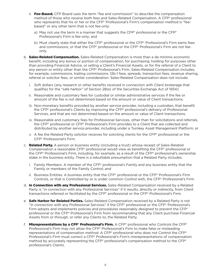- ii. Fee-Based. CFP Board uses the term "fee and commission" to describe the compensation method of those who receive both fees and Sales-Related Compensation. A CFP® professional who represents that his or her or the CFP® Professional's Firm's compensation method is "feebased" or any other term that is not fee-only:
	- a) May not use the term in a manner that suggests the CFP® professional or the CFP® Professional's Firm is fee-only; and
	- b) Must clearly state that either the CFP® professional or the CFP® Professional's Firm earns fees and commissions, or that the CFP® professional or the CFP® Professional's Firm are not feeonly.
- b. **Sales-Related Compensation.** Sales-Related Compensation is more than a de minimis economic benefit, including any bonus or portion of compensation, for purchasing, holding for purposes other than providing Financial Advice, or selling a Client's Financial Assets, or for the referral of a Client to any person or entity other than the CFP® Professional's Firm. Sales-Related Compensation includes, for example, commissions, trailing commissions, 12b-1 fees, spreads, transaction fees, revenue sharing, referral or solicitor fees, or similar consideration. Sales-Related Compensation does not include:
	- i. Soft dollars (any research or other benefits received in connection with Client brokerage that qualifies for the "safe harbor" of Section 28(e) of the Securities Exchange Act of 1934);
	- ii. Reasonable and customary fees for custodial or similar administrative services if the fee or amount of the fee is not determined based on the amount or value of Client transactions;
	- iii. Non-monetary benefits provided by another service provider, including a custodian, that benefit the CFP® professional's Clients by improving the CFP® professional's delivery of Professional Services, and that are not determined based on the amount or value of Client transactions;
	- iv. Reasonable and customary fees for Professional Services, other than for solicitations and referrals, the CFP® professional or CFP® Professional's Firm provides to a Client that are collected and distributed by another service provider, including under a Turnkey Asset Management Platform; or
	- v. A fee the Related Party solicitor receives for soliciting clients for the CFP® professional or the CFP® Professional's Firm.
- c. **Related Party.** A person or business entity (including a trust) whose receipt of Sales-Related Compensation a reasonable CFP® professional would view as benefiting the CFP® professional or the CFP® Professional's Firm, including, for example, as a result of the CFP® professional's ownership stake in the business entity. There is a rebuttable presumption that a Related Party includes:
	- i. Family Members. A member of the CFP® professional's Family and any business entity that the Family or members of the Family Control; and
	- ii. Business Entities. A business entity that the CFP® professional or the CFP® Professional's Firm Controls, or that is Controlled by or is under common Control with, the CFP® Professional's Firm.
- d. In Connection with any Professional Services. Sales-Related Compensation received by a Related Party is "in connection with any Professional Services" if it results, directly or indirectly, from Client transactions referred or facilitated by the CFP® professional or the CFP® Professional's Firm.
- e. **Safe Harbor for Related Parties.** Sales-Related Compensation received by a Related Party is not "in connection with any Professional Services" if the CFP® professional or the CFP® Professional's Firm adopts and implements policies and procedures reasonably designed to prevent the CFP® professional or the CFP® Professional's Firm from recommending that any Client purchase Financial Assets from or through, or refer any Clients to, the Related Party.
- f. Misrepresentations by a CFP® Professional's Firm. A CFP® professional who Controls the CFP® Professional's Firm may not allow the CFP® Professional's Firm to make false or misleading representations of compensation method. A CFP® professional who does not Control the CFP® Professional's Firm must correct a CFP® Professional's Firm's misrepresentations of compensation method by accurately representing the CFP® professional's compensation method to the CFP® professional's Clients.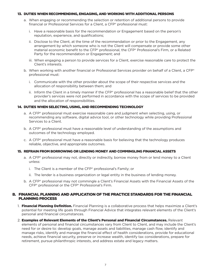#### 13. DUTIES WHEN RECOMMENDING, ENGAGING, AND WORKING WITH ADDITIONAL PERSONS

- a. When engaging or recommending the selection or retention of additional persons to provide financial or Professional Services for a Client, a CFP® professional must:
	- i. Have a reasonable basis for the recommendation or Engagement based on the person's reputation, experience, and qualifications;
	- ii. Disclose to the Client, at the time of the recommendation or prior to the Engagement, any arrangement by which someone who is not the Client will compensate or provide some other material economic benefit to the CFP® professional, the CFP® Professional's Firm, or a Related Party for the recommendation or Engagement; and
	- iii. When engaging a person to provide services for a Client, exercise reasonable care to protect the Client's interests.
- b. When working with another financial or Professional Services provider on behalf of a Client, a CFP® professional must:
	- i. Communicate with the other provider about the scope of their respective services and the allocation of responsibility between them; and
	- ii. Inform the Client in a timely manner if the CFP® professional has a reasonable belief that the other provider's services were not performed in accordance with the scope of services to be provided and the allocation of responsibilities.

#### 14. DUTIES WHEN SELECTING, USING, AND RECOMMENDING TECHNOLOGY

- a. A CFP® professional must exercise reasonable care and judgment when selecting, using, or recommending any software, digital advice tool, or other technology while providing Professional Services to a Client.
- b. A CFP® professional must have a reasonable level of understanding of the assumptions and outcomes of the technology employed.
- c. A CFP® professional must have a reasonable basis for believing that the technology produces reliable, objective, and appropriate outcomes.

#### 15. REFRAIN FROM BORROWING OR LENDING MONEY AND COMMINGLING FINANCIAL ASSETS

- a. A CFP® professional may not, directly or indirectly, borrow money from or lend money to a Client unless:
	- i. The Client is a member of the CFP® professional's Family; or
	- ii. The lender is a business organization or legal entity in the business of lending money.
- b. A CFP® professional may not commingle a Client's Financial Assets with the Financial Assets of the CFP® professional or the CFP® Professional's Firm.

#### B. FINANCIAL PLANNING AND APPLICATION OF THE PRACTICE STANDARDS FOR THE FINANCIAL PLANNING PROCESS

- 1. Financial Planning Definition. Financial Planning is a collaborative process that helps maximize a Client's potential for meeting life goals through Financial Advice that integrates relevant elements of the Client's personal and financial circumstances.
- 2. **Examples of Relevant Elements of the Client's Personal and Financial Circumstances.** Relevant elements of personal and financial circumstances vary from Client to Client, and may include the Client's need for or desire to: develop goals, manage assets and liabilities, manage cash flow, identify and manage risks, identify and manage the financial effect of health considerations, provide for educational needs, achieve financial security, preserve or increase wealth, identify tax considerations, prepare for retirement, pursue philanthropic interests, and address estate and legacy matters.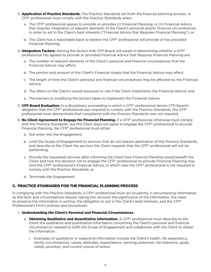- 3. **Application of Practice Standards.** The Practice Standards set forth the financial planning process. A CFP® professional must comply with the Practice Standards when:
	- a. The CFP® professional agrees to provide or provides (i) Financial Planning; or (ii) Financial Advice that requires integration of relevant elements of the Client's personal and/or financial circumstances in order to act in the Client's best interests ("Financial Advice that Requires Financial Planning"); or
	- b. The Client has a reasonable basis to believe the CFP® professional will provide or has provided Financial Planning.
- 4. Integration Factors. Among the factors that CFP Board will weigh in determining whether a CFP® professional has agreed to provide or provided Financial Advice that Requires Financial Planning are:
	- a. The number of relevant elements of the Client's personal and financial circumstances that the Financial Advice may affect;
	- b. The portion and amount of the Client's Financial Assets that the Financial Advice may affect;
	- c. The length of time the Client's personal and financial circumstances may be affected by the Financial Advice;
	- d. The effect on the Client's overall exposure to risk if the Client implements the Financial Advice; and
	- e. The barriers to modifying the actions taken to implement the Financial Advice.
- 5. **CFP Board Evaluation.** In a disciplinary proceeding in which a CFP® professional denies CFP Board's allegation that the  $\text{CFP}^*$  professional was required to comply with the Practice Standards, the CFP $^*$ professional must demonstrate that compliance with the Practice Standards was not required.
- 6. No Client Agreement to Engage for Financial Planning. If a CFP® professional otherwise must comply with the Practice Standards, but the Client does not agree to engage the CFP® professional to provide Financial Planning, the CFP® professional must either:
	- a. Not enter into the Engagement;
	- b. Limit the Scope of Engagement to services that do not require application of the Practice Standards, and describe to the Client the services the Client requests that the CFP® professional will not be performing;
	- c. Provide the requested services after informing the Client how Financial Planning would benefit the Client and how the decision not to engage the CFP® professional to provide Financial Planning may limit the CFP® professional's Financial Advice, in which case the CFP® professional is not required to comply with the Practice Standards; or
	- d. Terminate the Engagement.

## C. PRACTICE STANDARDS FOR THE FINANCIAL PLANNING PROCESS

In complying with the Practice Standards, a CFP® professional must act prudently in documenting information, as the facts and circumstances require, taking into account the significance of the information, the need to preserve the information in writing, the obligation to act in the Client's best interests, and the CFP® Professional's Firm's policies and procedures.

- 1. Understanding the Client's Personal and Financial Circumstances
	- a. **Obtaining Qualitative and Quantitative Information.** A CFP® professional must describe to the Client the qualitative and quantitative information concerning the Client's personal and financial circumstances needed to fulfill the Scope of Engagement and collaborate with the Client to obtain the information.
		- i. Examples of qualitative or subjective information include the Client's health, life expectancy, family circumstances, values, attitudes, expectations, earnings potential, risk tolerance, goals, needs, priorities, and current course of action.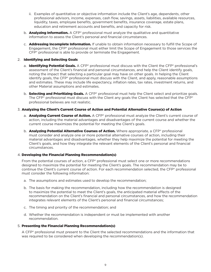- ii. Examples of quantitative or objective information include the Client's age, dependents, other professional advisors, income, expenses, cash flow, savings, assets, liabilities, available resources, liquidity, taxes, employee benefits, government benefits, insurance coverage, estate plans, education and retirement accounts and benefits, and capacity for risk.
- b. **Analyzing Information.** A CFP<sup>®</sup> professional must analyze the qualitative and quantitative information to assess the Client's personal and financial circumstances.
- c. **Addressing Incomplete Information.** If unable to obtain information necessary to fulfill the Scope of Engagement, the CFP® professional must either limit the Scope of Engagement to those services the CFP® professional is able to provide or terminate the Engagement.

#### 2. Identifying and Selecting Goals

- a. Identifying Potential Goals. A CFP® professional must discuss with the Client the CFP® professional's assessment of the Client's financial and personal circumstances, and help the Client identify goals, noting the impact that selecting a particular goal may have on other goals. In helping the Client identify goals, the CFP® professional must discuss with the Client, and apply, reasonable assumptions and estimates. These may include life expectancy, inflation rates, tax rates, investment returns, and other Material assumptions and estimates.
- b. Selecting and Prioritizing Goals. A CFP® professional must help the Client select and prioritize goals. The CFP® professional must discuss with the Client any goals the Client has selected that the CFP® professional believes are not realistic.

#### 3. Analyzing the Client's Current Course of Action and Potential Alternative Course(s) of Action

- a. **Analyzing Current Course of Action.** A CFP® professional must analyze the Client's current course of action, including the material advantages and disadvantages of the current course and whether the current course maximizes the potential for meeting the Client's goals.
- b. **Analyzing Potential Alternative Courses of Action.** Where appropriate, a CFP® professional must consider and analyze one or more potential alternative courses of action, including their material advantages and disadvantages, whether they help maximize the potential for meeting the Client's goals, and how they integrate the relevant elements of the Client's personal and financial circumstances.

#### 4. Developing the Financial Planning Recommendation(s)

From the potential courses of action, a CFP® professional must select one or more recommendations designed to maximize the potential for meeting the Client's goals. The recommendation may be to continue the Client's current course of action. For each recommendation selected, the CFP® professional must consider the following information:

- a. The assumptions and estimates used to develop the recommendation;
- b. The basis for making the recommendation, including how the recommendation is designed to maximize the potential to meet the Client's goals, the anticipated material effects of the recommendation on the Client's financial and personal circumstances, and how the recommendation integrates relevant elements of the Client's personal and financial circumstances;
- c. The timing and priority of the recommendation; and
- d. Whether the recommendation is independent or must be implemented with another recommendation.

#### 5. Presenting the Financial Planning Recommendation(s)

A CFP® professional must present to the Client the selected recommendations and the information that was required to be considered when developing the recommendation(s).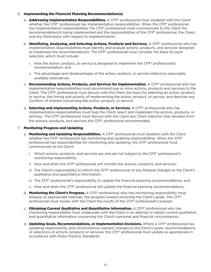#### 6. Implementing the Financial Planning Recommendation(s)

- a. **Addressing Implementation Responsibilities.** A CFP® professional must establish with the Client whether the CFP® professional has implementation responsibilities. When the CFP® professional has implementation responsibilities, the CFP® professional must communicate to the Client the recommendation(s) being implemented and the responsibilities of the CFP® professional, the Client, and any third-party with respect to implementation.
- b. **Identifying, Analyzing, and Selecting Actions, Products and Services.** A CFP® professional who has implementation responsibilities must identify and analyze actions, products, and services designed to implement the recommendations. The CFP® professional must consider the basis for each selection, which must include:
	- i. How the action, product, or service is designed to implement the  $\text{CFP}^{\circ}$  professional's recommendation; and
	- ii. The advantages and disadvantages of the action, product, or service relative to reasonably available alternatives.
- c. **Recommending Actions, Products, and Services for Implementation.** A CFP® professional who has implementation responsibilities must recommend one or more actions, products and services to the Client. The CFP® professional must discuss with the Client the basis for selecting an action, product, or service, the timing and priority of implementing the action, product, or service, and describe any Conflicts of Interest concerning the action, product, or service.
- d. Selecting and Implementing Actions, Products, or Services. A CFP® professional who has implementation responsibilities must help the Client select and implement the actions, products, or services. The CFP® professional must discuss with the Client any Client selection that deviates from the actions, products, and services the CFP® professional recommended.

#### 7. Monitoring Progress and Updating

- a. Monitoring and Updating Responsibilities. A CFP® professional must establish with the Client whether the CFP® professional has monitoring and updating responsibilities. When the CFP® professional has responsibilities for monitoring and updating, the CFP® professional must communicate to the Client:
	- i. Which actions, products, and services are and are not subject to the  $\mathsf{CFP}^{\circ}$  professional's monitoring responsibility;
	- ii. How and when the  $\text{CFP}^*$  professional will monitor the actions, products, and services;
	- iii. The Client's responsibility to inform the CFP® professional of any Material changes to the Client's qualitative and quantitative information;
	- iv. The CFP® professional's responsibility to update the financial planning recommendations; and
	- v. How and when the CFP® professional will update the financial planning recommendations.
- b. **Monitoring the Client's Progress.** A CFP<sup>®</sup> professional who has monitoring responsibility must analyze, at appropriate intervals, the progress toward achieving the Client's goals. The CFP<sup>®</sup> professional must review with the Client the results of the CFP® professional's analysis.
- c. **Obtaining Current Qualitative and Quantitative Information.** A CFP® professional who has monitoring responsibility must collaborate with the Client in an attempt to obtain current qualitative and quantitative information concerning the Client's personal and financial circumstances.
- d. **Updating Goals, Recommendations, or Implementation Decisions.** Where a CFP® professional has updating responsibility, and circumstances warrant changes to the Client's goals, recommendations, or selections of actions, products or services, the CFP® professional must update as appropriate in accordance with these *Practice Standards.*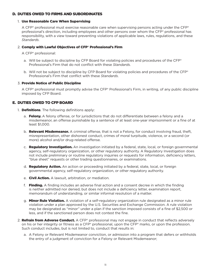#### D. DUTIES OWED TO FIRMS AND SUBORDINATES

### 1. Use Reasonable Care When Supervising

A CFP® professional must exercise reasonable care when supervising persons acting under the CFP® professional's direction, including employees and other persons over whom the CFP® professional has responsibility, with a view toward preventing violations of applicable laws, rules, regulations, and these *Standards*.

## 2. Comply with Lawful Objectives of CFP® Professional's Firm

A CFP® professional:

- a. Will be subject to discipline by CFP Board for violating policies and procedures of the CFP® Professional's Firm that do not conflict with these *Standards*.
- b. Will not be subject to discipline by CFP Board for violating policies and procedures of the CFP® Professional's Firm that conflict with these *Standards*.

## 3. Provide Notice of Public Discipline

A CFP® professional must promptly advise the CFP® Professional's Firm, in writing, of any public discipline imposed by CFP Board.

# E. DUTIES OWED TO CFP BOARD

- 1. **Definitions**. The following definitions apply:
	- a. **Felony.** A felony offense, or for jurisdictions that do not differentiate between a felony and a misdemeanor, an offense punishable by a sentence of at least one-year imprisonment or a fine of at least \$1,000.
	- b. Relevant Misdemeanor. A criminal offense, that is not a Felony, for conduct involving fraud, theft, misrepresentation, other dishonest conduct, crimes of moral turpitude, violence, or a second (or more) alcohol and/or drug-related offense.
	- c. Regulatory Investigation. An investigation initiated by a federal, state, local, or foreign governmental agency, self-regulatory organization, or other regulatory authority. A Regulatory Investigation does not include preliminary or routine regulatory inquiries or requests for information, deficiency letters, "blue sheet" requests or other trading questionnaires, or examinations.
	- d. **Regulatory Action.** An action or proceeding initiated by a federal, state, local, or foreign governmental agency, self-regulatory organization, or other regulatory authority.
	- e. **Civil Action.** A lawsuit, arbitration, or mediation.
	- f. Finding. A finding includes an adverse final action and a consent decree in which the finding is neither admitted nor denied, but does not include a deficiency letter, examination report, memorandum of understanding, or similar informal resolution of a matter.
	- g. **Minor Rule Violation.** A violation of a self-regulatory organization rule designated as a minor rule violation under a plan approved by the U.S. Securities and Exchange Commission. A rule violation may be designated as "minor" under a plan if the sanction imposed consists of a fine of \$2,500 or less, and if the sanctioned person does not contest the fine.
- 2. **Refrain from Adverse Conduct.** A CFP® professional may not engage in conduct that reflects adversely on his or her integrity or fitness as a CFP® professional, upon the CFP® marks, or upon the profession. Such conduct includes, but is not limited to, conduct that results in:
	- a. A Felony or Relevant Misdemeanor conviction, or admission into a program that defers or withholds the entry of a judgment of conviction for a Felony or Relevant Misdemeanor;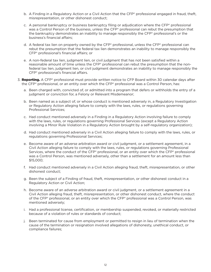- b. A Finding in a Regulatory Action or a Civil Action that the CFP® professional engaged in fraud, theft, misrepresentation, or other dishonest conduct;
- c. A personal bankruptcy or business bankruptcy filing or adjudication where the CFP® professional was a Control Person of the business, unless the CFP® professional can rebut the presumption that the bankruptcy demonstrates an inability to manage responsibly the CFP® professional's or the business's financial affairs;
- d. A federal tax lien on property owned by the CFP® professional, unless the CFP® professional can rebut the presumption that the federal tax lien demonstrates an inability to manage responsibly the CFP® professional's financial affairs; or
- e. A non-federal tax lien, judgment lien, or civil judgment that has not been satisfied within a reasonable amount of time unless the CFP® professional can rebut the presumption that the nonfederal tax lien, judgment lien, or civil judgment demonstrates an inability to manage responsibly the CFP® professional's financial affairs.
- 3. Reporting. A CFP® professional must provide written notice to CFP Board within 30 calendar days after the CFP® professional, or an entity over which the CFP® professional was a Control Person, has:
	- a. Been charged with, convicted of, or admitted into a program that defers or withholds the entry of a judgment or conviction for, a Felony or Relevant Misdemeanor;
	- b. Been named as a subject of, or whose conduct is mentioned adversely in, a Regulatory Investigation or Regulatory Action alleging failure to comply with the laws, rules, or regulations governing Professional Services;
	- c. Had conduct mentioned adversely in a Finding in a Regulatory Action involving failure to comply with the laws, rules, or regulations governing Professional Services (except a Regulatory Action involving a Minor Rule Violation in a Regulatory Action brought by a self-regulatory organization);
	- d. Had conduct mentioned adversely in a Civil Action alleging failure to comply with the laws, rules, or regulations governing Professional Services;
	- e. Become aware of an adverse arbitration award or civil judgment, or a settlement agreement, in a Civil Action alleging failure to comply with the laws, rules, or regulations governing Professional Services, where the conduct of the CFP® professional, or an entity over which the CFP® professional was a Control Person, was mentioned adversely, other than a settlement for an amount less than \$15,000;
	- f. Had conduct mentioned adversely in a Civil Action alleging fraud, theft, misrepresentation, or other dishonest conduct;
	- g. Been the subject of a Finding of fraud, theft, misrepresentation, or other dishonest conduct in a Regulatory Action or Civil Action;
	- h. Become aware of an adverse arbitration award or civil judgment, or a settlement agreement in a Civil Action alleging fraud, theft, misrepresentation, or other dishonest conduct, where the conduct of the CFP® professional, or an entity over which the CFP® professional was a Control Person, was mentioned adversely;
	- i. Had a professional license, certification, or membership suspended, revoked, or materially restricted because of a violation of rules or standards of conduct;
	- j. Been terminated for cause from employment or permitted to resign in lieu of termination when the cause of the termination or resignation involved allegations of dishonesty, unethical conduct, or compliance failures;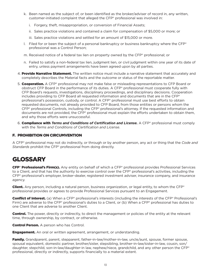- k. Been named as the subject of, or been identified as the broker/adviser of record in, any written, customer-initiated complaint that alleged the CFP® professional was involved in:
	- i. Forgery, theft, misappropriation, or conversion of Financial Assets;
	- ii. Sales practice violations and contained a claim for compensation of \$5,000 or more; or
	- iii. Sales practice violations and settled for an amount of \$15,000 or more.
- l. Filed for or been the subject of a personal bankruptcy or business bankruptcy where the CFP® professional was a Control Person;
- m. Received notice of a federal tax lien on property owned by the CFP® professional; or
- n. Failed to satisfy a non-federal tax lien, judgment lien, or civil judgment within one year of its date of entry, unless payment arrangements have been agreed upon by all parties.
- 4. Provide Narrative Statement. The written notice must include a narrative statement that accurately and completely describes the Material facts and the outcome or status of the reportable matter.
- 5. **Cooperation.** A CFP® professional may not make false or misleading representations to CFP Board or obstruct CFP Board in the performance of its duties. A CFP® professional must cooperate fully with CFP Board's requests, investigations, disciplinary proceedings, and disciplinary decisions. Cooperation includes providing to CFP Board all requested information and documents that are in the CFP® professional's possession, custody, or control. A CFP® professional must use best efforts to obtain requested documents, not already provided to CFP Board, from those entities or persons whom the CFP® professional Controls, including the CFP® professional's attorney. If the requested information and documents are not provided, the CFP® professional must explain the efforts undertaken to obtain them, and why those efforts were unsuccessful.
- 6. Compliance with *Terms and Conditions of Certification and License.* A CFP® professional must comply with the *Terms and Conditions of Certification and License*.

#### F. PROHIBITION ON CIRCUMVENTION

A CFP® professional may not do indirectly, or through or by another person, any act or thing that the *Code and Standards* prohibit the CFP® professional from doing directly.

# **GLOSSARY**

CFP® Professional's Firm(s). Any entity on behalf of which a CFP® professional provides Professional Services to a Client, and that has the authority to exercise control over the CFP® professional's activities, including the CFP® professional's employer, broker-dealer, registered investment adviser, insurance company, and insurance agency.

**Client.** Any person, including a natural person, business organization, or legal entity, to whom the CFP<sup>®</sup> professional provides or agrees to provide Professional Services pursuant to an Engagement.

**Conflict of Interest.** (a) When a CFP® professional's interests (including the interests of the CFP® Professional's Firm) are adverse to the CFP® professional's duties to a Client, or (b) When a CFP® professional has duties to one Client that are adverse to another Client.

**Control.** The power, directly or indirectly, to direct the management or policies of the entity at the relevant time, through ownership, by contract, or otherwise.

**Control Person.** A person who has Control.

**Engagement.** An oral or written agreement, arrangement, or understanding.

Family. Grandparent, parent, stepparent, father-in-law/mother-in-law, uncle/aunt, spouse, former spouse, spousal equivalent, domestic partner, brother/sister, stepsibling, brother-in-law/sister-in-law, cousin, son/ daughter, stepchild, son-in-law/daughter-in law, nephew/niece, grandchild, and any other person the CFP® professional, directly or indirectly, supports financially to a material extent.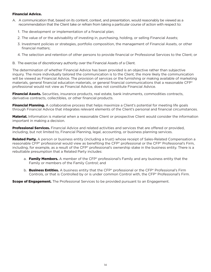#### Financial Advice.

- A. A communication that, based on its content, context, and presentation, would reasonably be viewed as a recommendation that the Client take or refrain from taking a particular course of action with respect to:
	- 1. The development or implementation of a financial plan;
	- 2. The value of or the advisability of investing in, purchasing, holding, or selling Financial Assets;
	- 3. Investment policies or strategies, portfolio composition, the management of Financial Assets, or other financial matters;
	- 4. The selection and retention of other persons to provide financial or Professional Services to the Client; or
- B. The exercise of discretionary authority over the Financial Assets of a Client.

The determination of whether Financial Advice has been provided is an objective rather than subjective inquiry. The more individually tailored the communication is to the Client, the more likely the communication will be viewed as Financial Advice. The provision of services or the furnishing or making available of marketing materials, general financial education materials, or general financial communications that a reasonable CFP® professional would not view as Financial Advice, does not constitute Financial Advice.

Financial Assets. Securities, insurance products, real estate, bank instruments, commodities contracts, derivative contracts, collectibles, or other financial products.

**Financial Planning.** A collaborative process that helps maximize a Client's potential for meeting life goals through Financial Advice that integrates relevant elements of the Client's personal and financial circumstances.

**Material.** Information is material when a reasonable Client or prospective Client would consider the information important in making a decision.

**Professional Services.** Financial Advice and related activities and services that are offered or provided, including, but not limited to, Financial Planning, legal, accounting, or business planning services.

Related Party. A person or business entity (including a trust) whose receipt of Sales-Related Compensation a reasonable CFP® professional would view as benefiting the CFP® professional or the CFP® Professional's Firm, including, for example, as a result of the CFP® professional's ownership stake in the business entity. There is a rebuttable presumption that a Related Party includes:

- a. Family Members. A member of the CFP® professional's Family and any business entity that the Family or members of the Family Control; and
- b. **Business Entities.** A business entity that the CFP® professional or the CFP® Professional's Firm Controls, or that is Controlled by or is under common Control with, the CFP® Professional's Firm.

**Scope of Engagement.** The Professional Services to be provided pursuant to an Engagement.